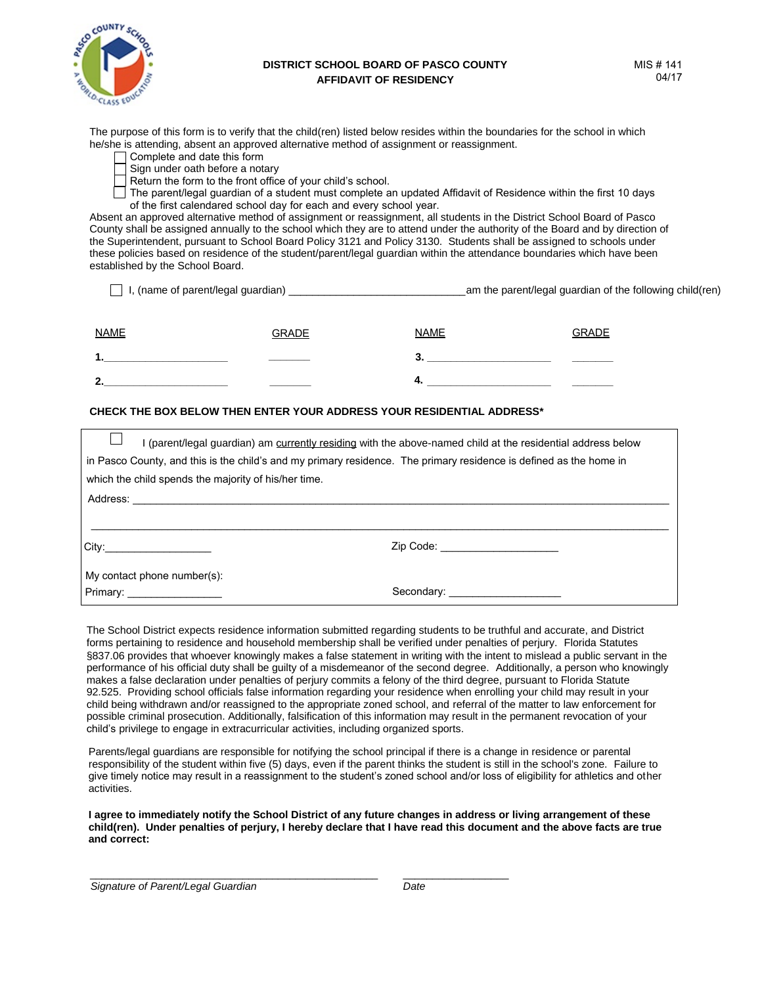

## **DISTRICT SCHOOL BOARD OF PASCO COUNTY AFFIDAVIT OF RESIDENCY**

The purpose of this form is to verify that the child(ren) listed below resides within the boundaries for the school in which he/she is attending, absent an approved alternative method of assignment or reassignment.

- Complete and date this form
- Sign under oath before a notary
- Return the form to the front office of your child's school.
- The parent/legal guardian of a student must complete an updated Affidavit of Residence within the first 10 days of the first calendared school day for each and every school year.

Absent an approved alternative method of assignment or reassignment, all students in the District School Board of Pasco County shall be assigned annually to the school which they are to attend under the authority of the Board and by direction of the Superintendent, pursuant to School Board Policy 3121 and Policy 3130. Students shall be assigned to schools under these policies based on residence of the student/parent/legal guardian within the attendance boundaries which have been established by the School Board.

 $\Box$  I, (name of parent/legal guardian)  $\Box$  am the parent/legal guardian of the following child(ren)

| <b>NAME</b> | <b>GRADE</b> | <b>NAME</b> | <b>GRADE</b> |
|-------------|--------------|-------------|--------------|
|             |              | .ಎ.         |              |
| c           |              |             |              |

## **CHECK THE BOX BELOW THEN ENTER YOUR ADDRESS YOUR RESIDENTIAL ADDRESS\***

| I (parent/legal guardian) am currently residing with the above-named child at the residential address below        |                                    |  |  |  |
|--------------------------------------------------------------------------------------------------------------------|------------------------------------|--|--|--|
| in Pasco County, and this is the child's and my primary residence. The primary residence is defined as the home in |                                    |  |  |  |
| which the child spends the majority of his/her time.                                                               |                                    |  |  |  |
|                                                                                                                    |                                    |  |  |  |
|                                                                                                                    |                                    |  |  |  |
|                                                                                                                    | Zip Code: _______________________  |  |  |  |
| My contact phone number(s):                                                                                        |                                    |  |  |  |
| Primary: __________________                                                                                        | Secondary: _______________________ |  |  |  |

The School District expects residence information submitted regarding students to be truthful and accurate, and District forms pertaining to residence and household membership shall be verified under penalties of perjury. Florida Statutes §837.06 provides that whoever knowingly makes a false statement in writing with the intent to mislead a public servant in the performance of his official duty shall be guilty of a misdemeanor of the second degree. Additionally, a person who knowingly makes a false declaration under penalties of perjury commits a felony of the third degree, pursuant to Florida Statute 92.525. Providing school officials false information regarding your residence when enrolling your child may result in your child being withdrawn and/or reassigned to the appropriate zoned school, and referral of the matter to law enforcement for possible criminal prosecution. Additionally, falsification of this information may result in the permanent revocation of your child's privilege to engage in extracurricular activities, including organized sports.

Parents/legal guardians are responsible for notifying the school principal if there is a change in residence or parental responsibility of the student within five (5) days, even if the parent thinks the student is still in the school's zone. Failure to give timely notice may result in a reassignment to the student's zoned school and/or loss of eligibility for athletics and other activities.

**I agree to immediately notify the School District of any future changes in address or living arrangement of these child(ren). Under penalties of perjury, I hereby declare that I have read this document and the above facts are true and correct:**

*Signature of Parent/Legal Guardian Date*